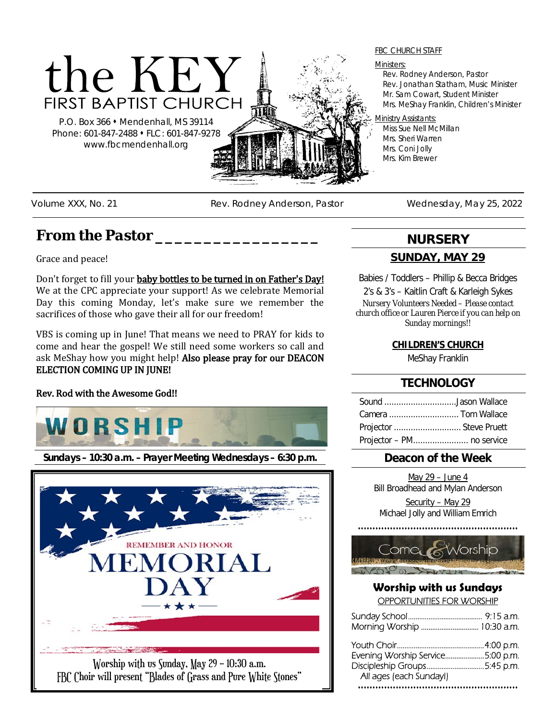

P.O. Box 366 Mendenhall, MS 39114 Phone: 601-847-2488 • FLC: 601-847-9278 www.fbcmendenhall.org

#### FBC CHURCH STAFF

#### Ministers:

Rev. Rodney Anderson, Pastor Rev. Jonathan Statham, Music Minister Mr. Sam Cowart, Student Minister Mrs. MeShay Franklin, Children's Minister

#### Ministry Assistants:

Miss Sue Nell McMillan Mrs. Sheri Warren Mrs. Coni Jolly Mrs. Kim Brewer

Volume XXX, No. 21 **Rev. Rodney Anderson, Pastor** Wednesday, May 25, 2022

# *From the Pastor \_\_\_\_\_\_\_\_\_\_\_\_\_\_\_\_\_*

Grace and peace!

Don't forget to fill your baby bottles to be turned in on Father's Day! We at the CPC appreciate your support! As we celebrate Memorial Day this coming Monday, let's make sure we remember the sacrifices of those who gave their all for our freedom!

VBS is coming up in June! That means we need to PRAY for kids to come and hear the gospel! We still need some workers so call and ask MeShay how you might help! Also please pray for our DEACON ELECTION COMING UP IN JUNE!

#### Rev. Rod with the Awesome God!!



**Sundays – 10:30 a.m. – Prayer Meeting Wednesdays – 6:30 p.m.**



# **NURSERY**

### **SUNDAY, MAY 29**

Babies / Toddlers – Phillip & Becca Bridges

2's & 3's – Kaitlin Craft & Karleigh Sykes *Nursery Volunteers Needed – Please contact church office or Lauren Pierce if you can help on Sunday mornings!!*

### **CHILDREN'S CHURCH**

MeShay Franklin

## **TECHNOLOGY**

| Sound Jason Wallace       |  |
|---------------------------|--|
|                           |  |
| Projector  Steve Pruett   |  |
| Projector - PM no service |  |

## **Deacon of the Week**

May 29 – June 4 Bill Broadhead and Mylan Anderson Security – May 29

Michael Jolly and William Emrich

...........................



#### **Worship with us Sundays** OPPORTUNITIES FOR WORSHIP

| Evening Worship Service5:00 p.m. |  |
|----------------------------------|--|
| Discipleship Groups5:45 p.m.     |  |
| All ages (each Sunday!)          |  |
|                                  |  |